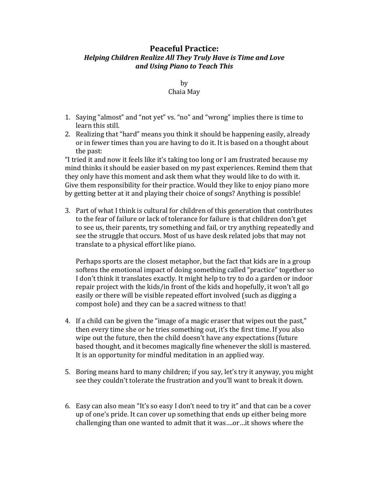## **Peaceful Practice:** *Helping Children Realize All They Truly Have is Time and Love and Using Piano to Teach This*

by Chaia May 

- 1. Saying "almost" and "not yet" vs. "no" and "wrong" implies there is time to learn this still.
- 2. Realizing that "hard" means you think it should be happening easily, already or in fewer times than you are having to do it. It is based on a thought about the past:

"I tried it and now it feels like it's taking too long or I am frustrated because my mind thinks it should be easier based on my past experiences. Remind them that they only have this moment and ask them what they would like to do with it. Give them responsibility for their practice. Would they like to enjoy piano more by getting better at it and playing their choice of songs? Anything is possible!

3. Part of what I think is cultural for children of this generation that contributes to the fear of failure or lack of tolerance for failure is that children don't get to see us, their parents, try something and fail, or try anything repeatedly and see the struggle that occurs. Most of us have desk related jobs that may not translate to a physical effort like piano.

Perhaps sports are the closest metaphor, but the fact that kids are in a group softens the emotional impact of doing something called "practice" together so I don't think it translates exactly. It might help to try to do a garden or indoor repair project with the kids/in front of the kids and hopefully, it won't all go easily or there will be visible repeated effort involved (such as digging a compost hole) and they can be a sacred witness to that!

- 4. If a child can be given the "image of a magic eraser that wipes out the past," then every time she or he tries something out, it's the first time. If you also wipe out the future, then the child doesn't have any expectations (future based thought, and it becomes magically fine whenever the skill is mastered. It is an opportunity for mindful meditation in an applied way.
- 5. Boring means hard to many children; if you say, let's try it anyway, you might see they couldn't tolerate the frustration and you'll want to break it down.
- 6. Easy can also mean "It's so easy I don't need to try it" and that can be a cover up of one's pride. It can cover up something that ends up either being more challenging than one wanted to admit that it was....or...it shows where the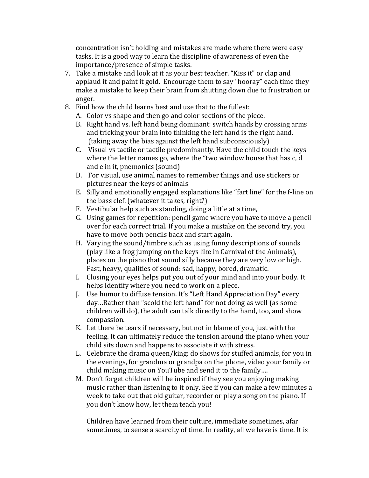concentration isn't holding and mistakes are made where there were easy tasks. It is a good way to learn the discipline of awareness of even the importance/presence of simple tasks.

- 7. Take a mistake and look at it as your best teacher. "Kiss it" or clap and applaud it and paint it gold. Encourage them to say "hooray" each time they make a mistake to keep their brain from shutting down due to frustration or anger.
- 8. Find how the child learns best and use that to the fullest:
	- A. Color vs shape and then go and color sections of the piece.
	- B. Right hand vs. left hand being dominant: switch hands by crossing arms and tricking your brain into thinking the left hand is the right hand.  $(taking away the bias against the left hand subconsciously)$
	- C. Visual vs tactile or tactile predominantly. Have the child touch the keys where the letter names go, where the "two window house that has  $c, d$ and e in it, pnemonics (sound)
	- D. For visual, use animal names to remember things and use stickers or pictures near the keys of animals
	- E. Silly and emotionally engaged explanations like "fart line" for the f-line on the bass clef. (whatever it takes, right?)
	- F. Vestibular help such as standing, doing a little at a time,
	- G. Using games for repetition: pencil game where you have to move a pencil over for each correct trial. If you make a mistake on the second try, you have to move both pencils back and start again.
	- H. Varying the sound/timbre such as using funny descriptions of sounds (play like a frog jumping on the keys like in Carnival of the Animals), places on the piano that sound silly because they are very low or high. Fast, heavy, qualities of sound: sad, happy, bored, dramatic.
	- I. Closing your eyes helps put you out of your mind and into your body. It helps identify where you need to work on a piece.
	- J. Use humor to diffuse tension. It's "Left Hand Appreciation Day" every day...Rather than "scold the left hand" for not doing as well (as some children will do), the adult can talk directly to the hand, too, and show compassion.
	- K. Let there be tears if necessary, but not in blame of you, just with the feeling. It can ultimately reduce the tension around the piano when your child sits down and happens to associate it with stress.
	- L. Celebrate the drama queen/king: do shows for stuffed animals, for you in the evenings, for grandma or grandpa on the phone, video your family or child making music on YouTube and send it to the family....
	- M. Don't forget children will be inspired if they see you enjoying making music rather than listening to it only. See if you can make a few minutes a week to take out that old guitar, recorder or play a song on the piano. If you don't know how, let them teach you!

Children have learned from their culture, immediate sometimes, afar sometimes, to sense a scarcity of time. In reality, all we have is time. It is